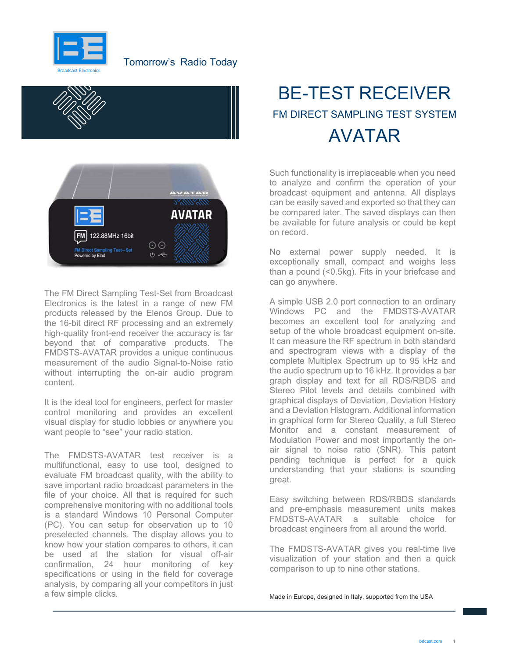





The FM Direct Sampling Test-Set from Broadcast Electronics is the latest in a range of new FM products released by the Elenos Group. Due to the 16-bit direct RF processing and an extremely high-quality front-end receiver the accuracy is far beyond that of comparative products. The FMDSTS-AVATAR provides a unique continuous measurement of the audio Signal-to-Noise ratio without interrupting the on-air audio program content.

It is the ideal tool for engineers, perfect for master control monitoring and provides an excellent visual display for studio lobbies or anywhere you want people to "see" your radio station.

The FMDSTS-AVATAR test receiver is a multifunctional, easy to use tool, designed to evaluate FM broadcast quality, with the ability to save important radio broadcast parameters in the file of your choice. All that is required for such comprehensive monitoring with no additional tools is a standard Windows 10 Personal Computer (PC). You can setup for observation up to 10 preselected channels. The display allows you to know how your station compares to others, it can be used at the station for visual off-air confirmation, 24 hour monitoring of key specifications or using in the field for coverage analysis, by comparing all your competitors in just a few simple clicks.

# BE-TEST RECEIVER FM DIRECT SAMPLING TEST SYSTEM AVATAR

Such functionality is irreplaceable when you need to analyze and confirm the operation of your broadcast equipment and antenna. All displays can be easily saved and exported so that they can be compared later. The saved displays can then be available for future analysis or could be kept on record.

No external power supply needed. It is exceptionally small, compact and weighs less than a pound (<0.5kg). Fits in your briefcase and can go anywhere.

 A simple USB 2.0 port connection to an ordinary Windows PC and the FMDSTS-AVATAR becomes an excellent tool for analyzing and setup of the whole broadcast equipment on-site. It can measure the RF spectrum in both standard and spectrogram views with a display of the complete Multiplex Spectrum up to 95 kHz and the audio spectrum up to 16 kHz. It provides a bar graph display and text for all RDS/RBDS and Stereo Pilot levels and details combined with graphical displays of Deviation, Deviation History and a Deviation Histogram. Additional information in graphical form for Stereo Quality, a full Stereo Monitor and a constant measurement of Modulation Power and most importantly the onair signal to noise ratio (SNR). This patent pending technique is perfect for a quick understanding that your stations is sounding great.

Easy switching between RDS/RBDS standards and pre-emphasis measurement units makes FMDSTS-AVATAR a suitable choice for broadcast engineers from all around the world.

The FMDSTS-AVATAR gives you real-time live visualization of your station and then a quick comparison to up to nine other stations.

Made in Europe, designed in Italy, supported from the USA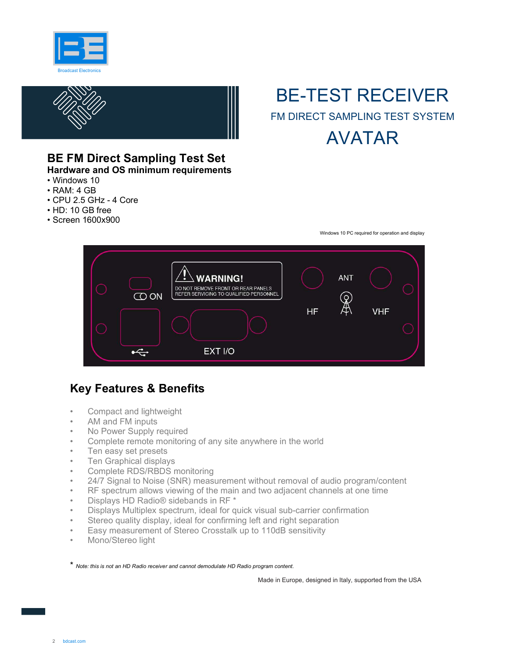



### BE-TEST RECEIVER FM DIRECT SAMPLING TEST SYSTEM AVATAR

### BE FM Direct Sampling Test Set

Hardware and OS minimum requirements

- Windows 10
- RAM: 4 GB
- CPU 2.5 GHz 4 Core
- HD: 10 GB free
- Screen 1600x900

Windows 10 PC required for operation and display



#### Key Features & Benefits

- Compact and lightweight
- AM and FM inputs
- No Power Supply required
- Complete remote monitoring of any site anywhere in the world
- Ten easy set presets
- Ten Graphical displays
- Complete RDS/RBDS monitoring
- 24/7 Signal to Noise (SNR) measurement without removal of audio program/content
- RF spectrum allows viewing of the main and two adjacent channels at one time
- Displays HD Radio® sidebands in RF \*
- Displays Multiplex spectrum, ideal for quick visual sub-carrier confirmation
- Stereo quality display, ideal for confirming left and right separation
- Easy measurement of Stereo Crosstalk up to 110dB sensitivity
- Mono/Stereo light

\* Note: this is not an HD Radio receiver and cannot demodulate HD Radio program content.

Made in Europe, designed in Italy, supported from the USA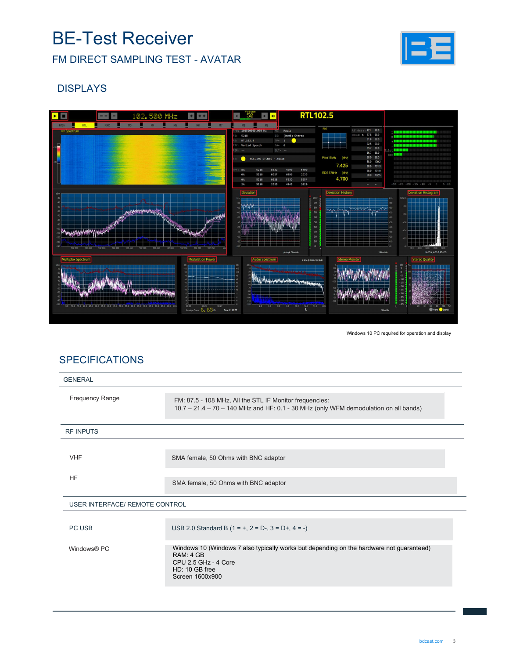### BE-Test Receiver

FM DIRECT SAMPLING TEST - AVATAR



#### DISPLAYS



Windows 10 PC required for operation and display

#### **SPECIFICATIONS**

| <b>GENERAL</b>                        |                                                                                                                                                                    |
|---------------------------------------|--------------------------------------------------------------------------------------------------------------------------------------------------------------------|
| Frequency Range                       | FM: 87.5 - 108 MHz, All the STL IF Monitor frequencies:<br>10.7 - 21.4 - 70 - 140 MHz and HF: 0.1 - 30 MHz (only WFM demodulation on all bands)                    |
| <b>RF INPUTS</b>                      |                                                                                                                                                                    |
| <b>VHF</b>                            | SMA female, 50 Ohms with BNC adaptor                                                                                                                               |
| <b>HF</b>                             | SMA female, 50 Ohms with BNC adaptor                                                                                                                               |
| <b>USER INTERFACE/ REMOTE CONTROL</b> |                                                                                                                                                                    |
| PC USB                                | USB 2.0 Standard B $(1 = +, 2 = D-, 3 = D+, 4 = -)$                                                                                                                |
| Windows <sup>®</sup> PC               | Windows 10 (Windows 7 also typically works but depending on the hardware not guaranteed)<br>RAM: 4 GB<br>CPU 2.5 GHz - 4 Core<br>HD: 10 GB free<br>Screen 1600x900 |
|                                       |                                                                                                                                                                    |
|                                       |                                                                                                                                                                    |
|                                       | bdcast.com<br>3                                                                                                                                                    |